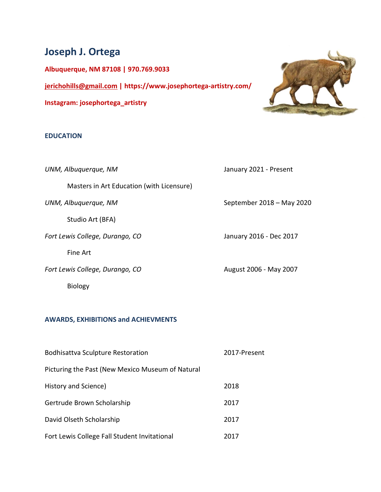# Joseph J. Ortega

Albuquerque, NM 87108 | 970.769.9033 jerichohills@gmail.com | https://www.josephortega-artistry.com/ Instagram: josephortega\_artistry

#### EDUCATION

UNM, Albuquerque, NM January 2021 - Present Masters in Art Education (with Licensure) UNM, Albuquerque, NM September 2018 – May 2020 Studio Art (BFA) Fort Lewis College, Durango, CO January 2016 - Dec 2017 Fine Art Fort Lewis College, Durango, CO August 2006 - May 2007

Biology

# AWARDS, EXHIBITIONS and ACHIEVMENTS

| <b>Bodhisattva Sculpture Restoration</b>         | 2017-Present |
|--------------------------------------------------|--------------|
| Picturing the Past (New Mexico Museum of Natural |              |
| History and Science)                             | 2018         |
| Gertrude Brown Scholarship                       | 2017         |
| David Olseth Scholarship                         | 2017         |
| Fort Lewis College Fall Student Invitational     | 2017         |

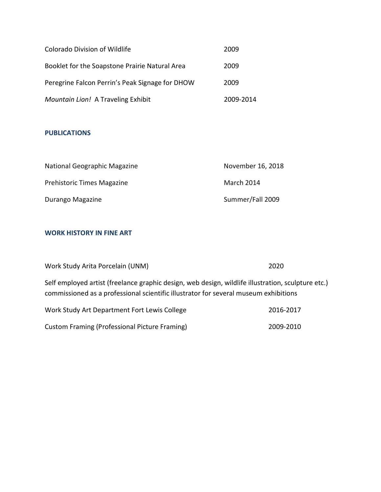| <b>Colorado Division of Wildlife</b>            | 2009      |
|-------------------------------------------------|-----------|
| Booklet for the Soapstone Prairie Natural Area  | 2009      |
| Peregrine Falcon Perrin's Peak Signage for DHOW | 2009      |
| Mountain Lion! A Traveling Exhibit              | 2009-2014 |

## PUBLICATIONS

| National Geographic Magazine | November 16, 2018 |
|------------------------------|-------------------|
| Prehistoric Times Magazine   | March 2014        |
| Durango Magazine             | Summer/Fall 2009  |

### WORK HISTORY IN FINE ART

| Work Study Arita Porcelain (UNM)                                                                                                                                                           | 2020      |  |
|--------------------------------------------------------------------------------------------------------------------------------------------------------------------------------------------|-----------|--|
| Self employed artist (freelance graphic design, web design, wildlife illustration, sculpture etc.)<br>commissioned as a professional scientific illustrator for several museum exhibitions |           |  |
| Work Study Art Department Fort Lewis College                                                                                                                                               | 2016-2017 |  |
| Custom Framing (Professional Picture Framing)                                                                                                                                              | 2009-2010 |  |